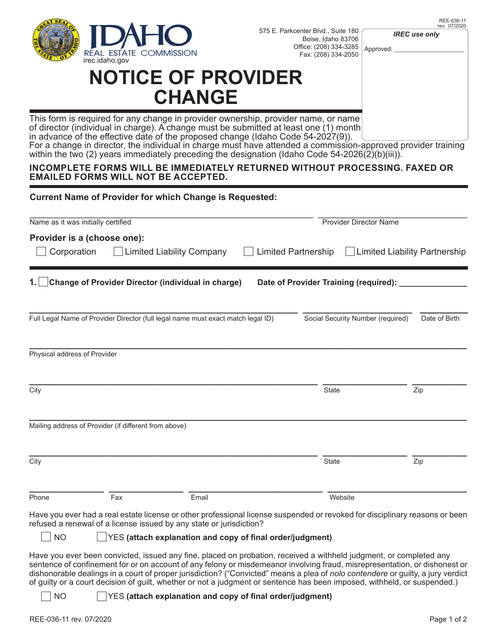

575 E. Parkcenter Blvd., Suite 180 Boise, Idaho 83706 Office: (208) 334-3285

*IREC use only*

Approved:

|               | <b>NOTICE OF PROVIDER</b> |  |  |  |  |
|---------------|---------------------------|--|--|--|--|
| <b>CHANGE</b> |                           |  |  |  |  |

This form is required for any change in provider ownership, provider name, or name of director (individual in charge). A change must be submitted at least one (1) month in advance of the effective date of the proposed change (Idaho Code  $54-2027(9)$ ). For a change in director, the individual in charge must have attended a commission-approved provider training within the two (2) years immediately preceding the designation (Idaho Code 54-2026(2)(b)(iii)).

## **INCOMPLETE FORMS WILL BE IMMEDIATELY RETURNED WITHOUT PROCESSING. FAXED OR EMAILED FORMS WILL NOT BE ACCEPTED.**

| <b>Current Name of Provider for which Change is Requested:</b> |                                                                                  |                     |              |                                          |               |  |  |  |  |
|----------------------------------------------------------------|----------------------------------------------------------------------------------|---------------------|--------------|------------------------------------------|---------------|--|--|--|--|
| Name as it was initially certified                             |                                                                                  |                     |              | <b>Provider Director Name</b>            |               |  |  |  |  |
| Provider is a (choose one):                                    |                                                                                  |                     |              |                                          |               |  |  |  |  |
| Corporation                                                    | Limited Liability Company                                                        | Limited Partnership |              | Limited Liability Partnership            |               |  |  |  |  |
| 1. $\vert$                                                     | Change of Provider Director (individual in charge)                               |                     |              | Date of Provider Training (required): __ |               |  |  |  |  |
|                                                                |                                                                                  |                     |              |                                          |               |  |  |  |  |
|                                                                | Full Legal Name of Provider Director (full legal name must exact match legal ID) |                     |              | Social Security Number (required)        | Date of Birth |  |  |  |  |
|                                                                |                                                                                  |                     |              |                                          |               |  |  |  |  |
| Physical address of Provider                                   |                                                                                  |                     |              |                                          |               |  |  |  |  |
|                                                                |                                                                                  |                     |              |                                          |               |  |  |  |  |
| City                                                           |                                                                                  |                     | <b>State</b> |                                          | Zip           |  |  |  |  |
|                                                                | Mailing address of Provider (if different from above)                            |                     |              |                                          |               |  |  |  |  |
|                                                                |                                                                                  |                     |              |                                          |               |  |  |  |  |

**\_\_\_\_\_\_\_\_\_\_\_\_\_\_\_\_\_\_\_\_\_\_\_\_\_\_\_\_\_\_\_\_\_\_\_\_\_\_\_\_\_\_\_\_\_\_\_\_\_\_\_\_\_\_\_\_\_\_ \_\_\_\_\_\_\_\_\_\_\_\_\_\_\_\_\_ \_\_\_\_\_\_\_\_\_\_\_** City State Zip **\_\_\_\_\_\_\_\_\_\_\_\_\_\_\_ \_\_\_\_\_\_\_\_\_\_\_\_\_\_\_ \_\_\_\_\_\_\_\_\_\_\_\_\_\_\_\_\_\_\_\_\_\_\_\_\_\_\_ \_\_\_\_\_\_\_\_\_\_\_\_\_\_\_\_\_\_\_\_\_\_\_\_\_\_\_\_** Phone Fax Email Website

Have you ever had a real estate license or other professional license suspended or revoked for disciplinary reasons or been refused a renewal of a license issued by any state or jurisdiction?

## NO YES (attach explanation and copy of final order/judgment)

Have you ever been convicted, issued any fine, placed on probation, received a withheld judgment, or completed any sentence of confinement for or on account of any felony or misdemeanor involving fraud, misrepresentation, or dishonest or dishonorable dealings in a court of proper jurisdiction? ("Convicted" means a plea of *nolo contendere* or guilty, a jury verdict of guilty or a court decision of guilt, whether or not a judgment or sentence has been imposed, withheld, or suspended.)

NO  $\vert \vert$  YES (attach explanation and copy of final order/judgment)